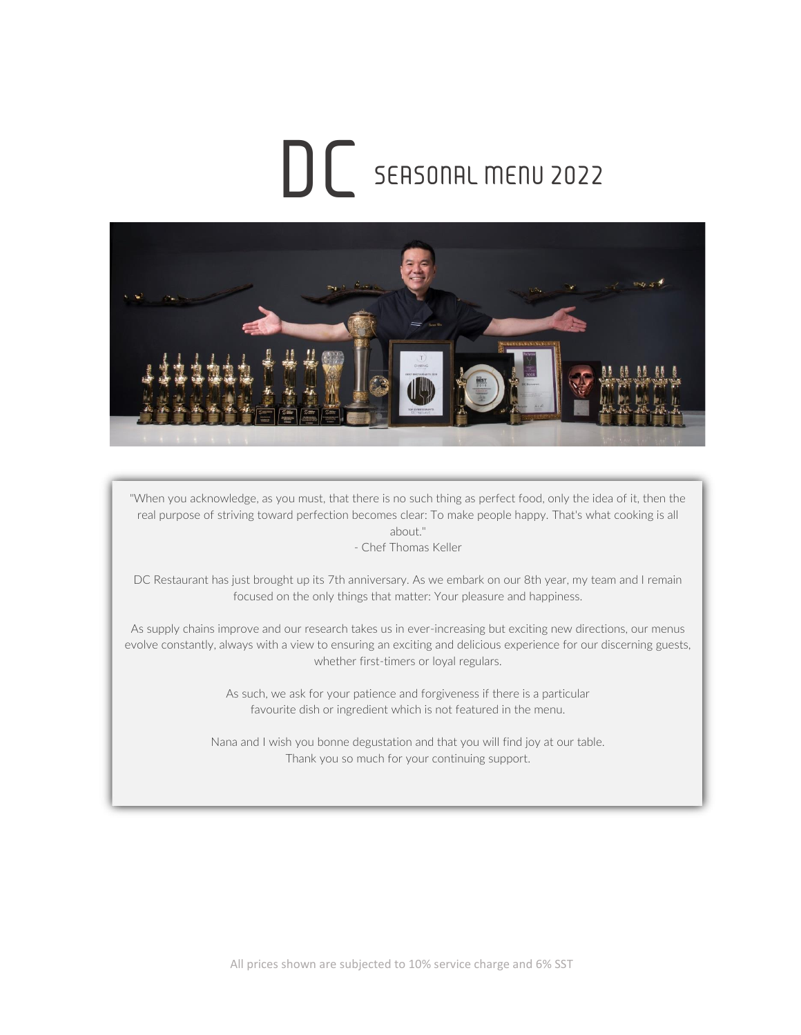# SEASONAL MENU 2022 DC



"When you acknowledge, as you must, that there is no such thing as perfect food, only the idea of it, then the real purpose of striving toward perfection becomes clear: To make people happy. That's what cooking is all about."

- Chef Thomas Keller

DC Restaurant has just brought up its 7th anniversary. As we embark on our 8th year, my team and I remain focused on the only things that matter: Your pleasure and happiness.

As supply chains improve and our research takes us in ever-increasing but exciting new directions, our menus evolve constantly, always with a view to ensuring an exciting and delicious experience for our discerning guests, whether first-timers or loyal regulars.

> As such, we ask for your patience and forgiveness if there is a particular favourite dish or ingredient which is not featured in the menu.

Nana and I wish you bonne degustation and that you will find joy at our table. Thank you so much for your continuing support.

December 2019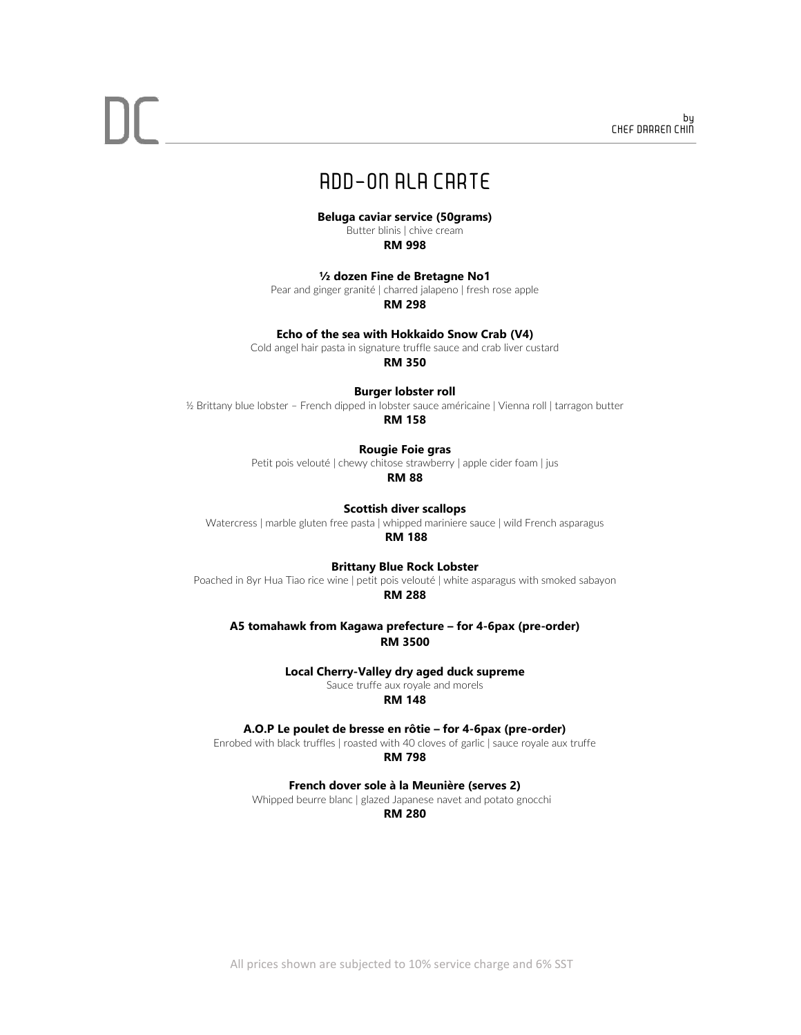### ADD-ON ALA CARTE

**Beluga caviar service (50grams)**

Butter blinis | chive cream **RM 998**

#### **½ dozen Fine de Bretagne No1**

Pear and ginger granité | charred jalapeno | fresh rose apple

**RM 298**

#### **Echo of the sea with Hokkaido Snow Crab (V4)**

Cold angel hair pasta in signature truffle sauce and crab liver custard

**RM 350**

#### **Burger lobster roll**

½ Brittany blue lobster – French dipped in lobster sauce américaine | Vienna roll | tarragon butter **RM 158**

#### **Rougie Foie gras**

Petit pois velouté | chewy chitose strawberry | apple cider foam | jus

**RM 88**

**Scottish diver scallops** Watercress | marble gluten free pasta | whipped mariniere sauce | wild French asparagus

**RM 188**

**Brittany Blue Rock Lobster** 

Poached in 8yr Hua Tiao rice wine | petit pois velouté | white asparagus with smoked sabayon **RM 288**

**A5 tomahawk from Kagawa prefecture – for 4-6pax (pre-order) RM 3500**

**Local Cherry-Valley dry aged duck supreme**

Sauce truffe aux royale and morels

**RM 148**

**A.O.P Le poulet de bresse en rôtie – for 4-6pax (pre-order)**

Enrobed with black truffles | roasted with 40 cloves of garlic | sauce royale aux truffe

**RM 798**

**French dover sole à la Meunière (serves 2)**

Whipped beurre blanc | glazed Japanese navet and potato gnocchi

#### **RM 280**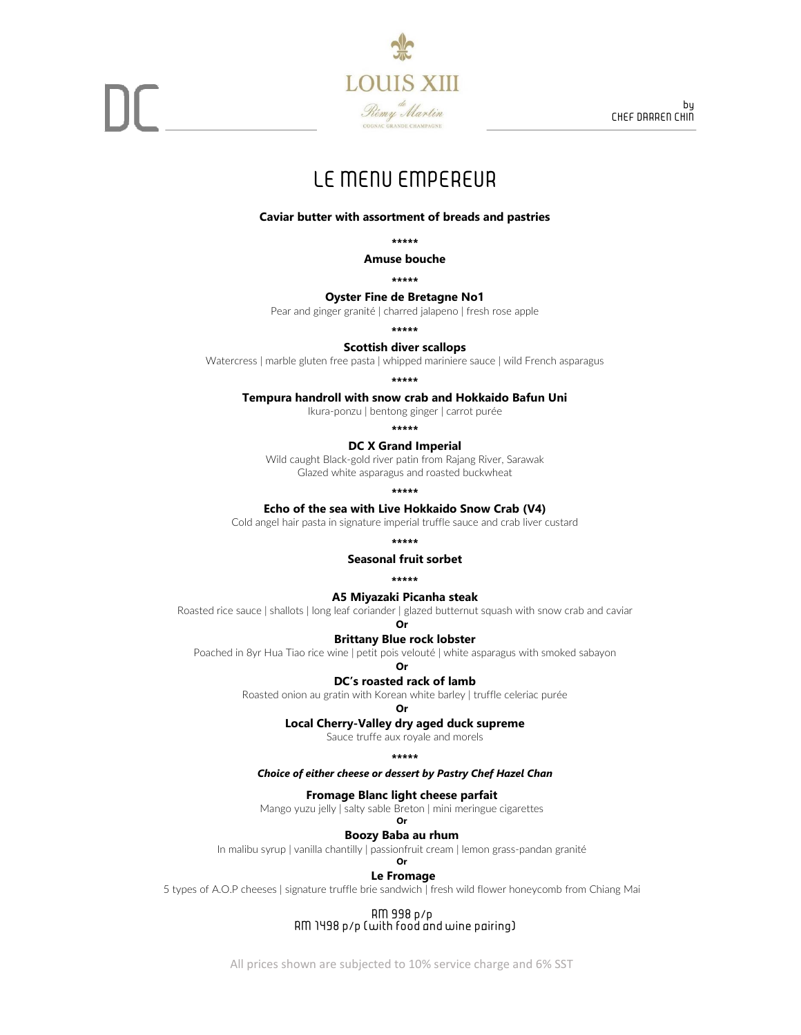

### LE MENU EMPEREUR

#### **Caviar butter with assortment of breads and pastries**

**\*\*\*\*\***

**Amuse bouche**

**\*\*\*\*\*** 

#### **Oyster Fine de Bretagne No1**

Pear and ginger granité | charred jalapeno | fresh rose apple

**\*\*\*\*\***

#### **Scottish diver scallops**

Watercress | marble gluten free pasta | whipped mariniere sauce | wild French asparagus

**\*\*\*\*\***

#### **Tempura handroll with snow crab and Hokkaido Bafun Uni**

Ikura-ponzu | bentong ginger | carrot purée

**\*\*\*\*\*** 

#### **DC X Grand Imperial**

Wild caught Black-gold river patin from Rajang River, Sarawak Glazed white asparagus and roasted buckwheat

**\*\*\*\*\***

#### **Echo of the sea with Live Hokkaido Snow Crab (V4)**

Cold angel hair pasta in signature imperial truffle sauce and crab liver custard

**\*\*\*\*\*** 

#### **Seasonal fruit sorbet**

**\*\*\*\*\***

#### **A5 Miyazaki Picanha steak**

Roasted rice sauce | shallots | long leaf coriander | glazed butternut squash with snow crab and caviar

**Or Brittany Blue rock lobster** 

Poached in 8yr Hua Tiao rice wine | petit pois velouté | white asparagus with smoked sabayon **Or**

#### **DC's roasted rack of lamb**

Roasted onion au gratin with Korean white barley | truffle celeriac purée

#### **Or**

#### **Local Cherry-Valley dry aged duck supreme**

Sauce truffe aux royale and morels

#### **\*\*\*\*\***

*Choice of either cheese or dessert by Pastry Chef Hazel Chan*

#### **Fromage Blanc light cheese parfait**

Mango yuzu jelly | salty sable Breton | mini meringue cigarettes

#### **Or Boozy Baba au rhum**

In malibu syrup | vanilla chantilly | passionfruit cream | lemon grass-pandan granité **Or**

#### **Le Fromage**

5 types of A.O.P cheeses | signature truffle brie sandwich | fresh wild flower honeycomb from Chiang Mai

RM 998 p/p RM 1498 p/p (with food and wine pairing)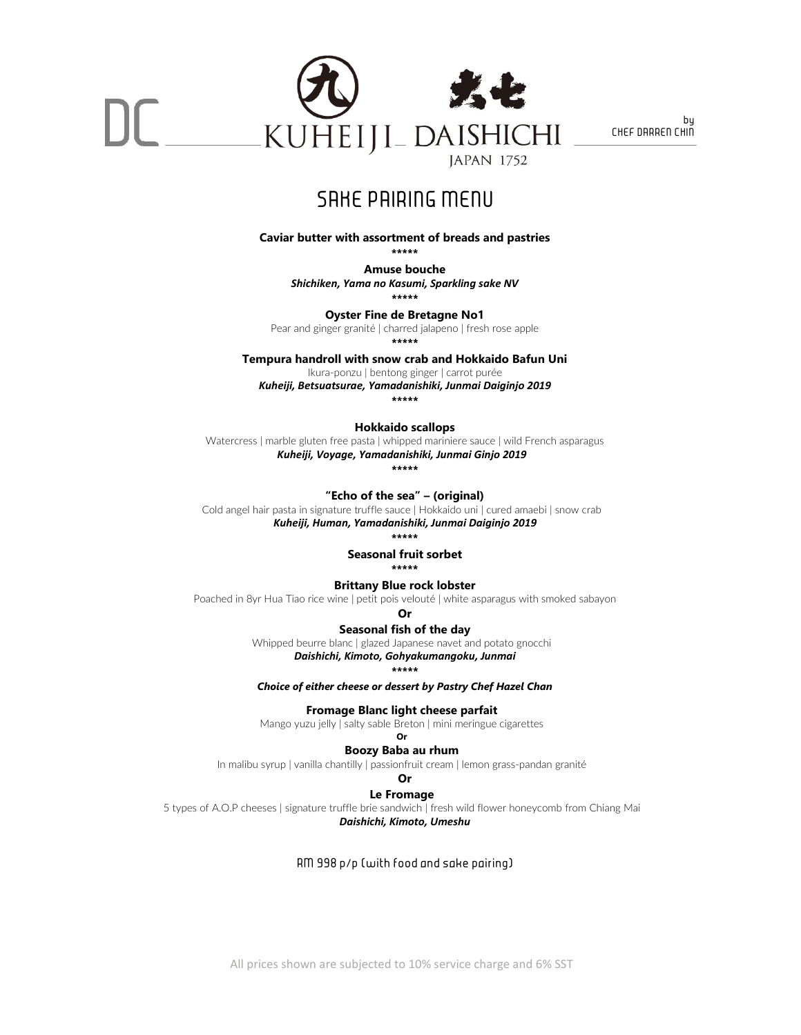

### SAKE PAIRING MENU

**Caviar butter with assortment of breads and pastries**

**\*\*\*\*\***

**Amuse bouche**

*Shichiken, Yama no Kasumi, Sparkling sake NV*

**\*\*\*\*\*** 

**Oyster Fine de Bretagne No1**

Pear and ginger granité | charred jalapeno | fresh rose apple **\*\*\*\*\*** 

**Tempura handroll with snow crab and Hokkaido Bafun Uni** 

Ikura-ponzu | bentong ginger | carrot purée

*Kuheiji, Betsuatsurae, Yamadanishiki, Junmai Daiginjo 2019*

**\*\*\*\*\*** 

**Hokkaido scallops** 

Watercress | marble gluten free pasta | whipped mariniere sauce | wild French asparagus *Kuheiji, Voyage, Yamadanishiki, Junmai Ginjo 2019*

**\*\*\*\*\***

**"Echo of the sea" – (original)**

Cold angel hair pasta in signature truffle sauce | Hokkaido uni | cured amaebi | snow crab *Kuheiji, Human, Yamadanishiki, Junmai Daiginjo 2019*

**\*\*\*\*\***

**Seasonal fruit sorbet**

**\*\*\*\*\***

**Brittany Blue rock lobster** 

Poached in 8yr Hua Tiao rice wine | petit pois velouté | white asparagus with smoked sabayon

**Or**

**Seasonal fish of the day** 

Whipped beurre blanc | glazed Japanese navet and potato gnocchi

*Daishichi, Kimoto, Gohyakumangoku, Junmai*

**\*\*\*\*\*** 

*Choice of either cheese or dessert by Pastry Chef Hazel Chan* 

**Fromage Blanc light cheese parfait**

Mango yuzu jelly | salty sable Breton | mini meringue cigarettes **Or**

**Boozy Baba au rhum** 

In malibu syrup | vanilla chantilly | passionfruit cream | lemon grass-pandan granité

**Or**

**Le Fromage**

5 types of A.O.P cheeses | signature truffle brie sandwich | fresh wild flower honeycomb from Chiang Mai *Daishichi, Kimoto, Umeshu*

RM 998 p/p (with food and sake pairing)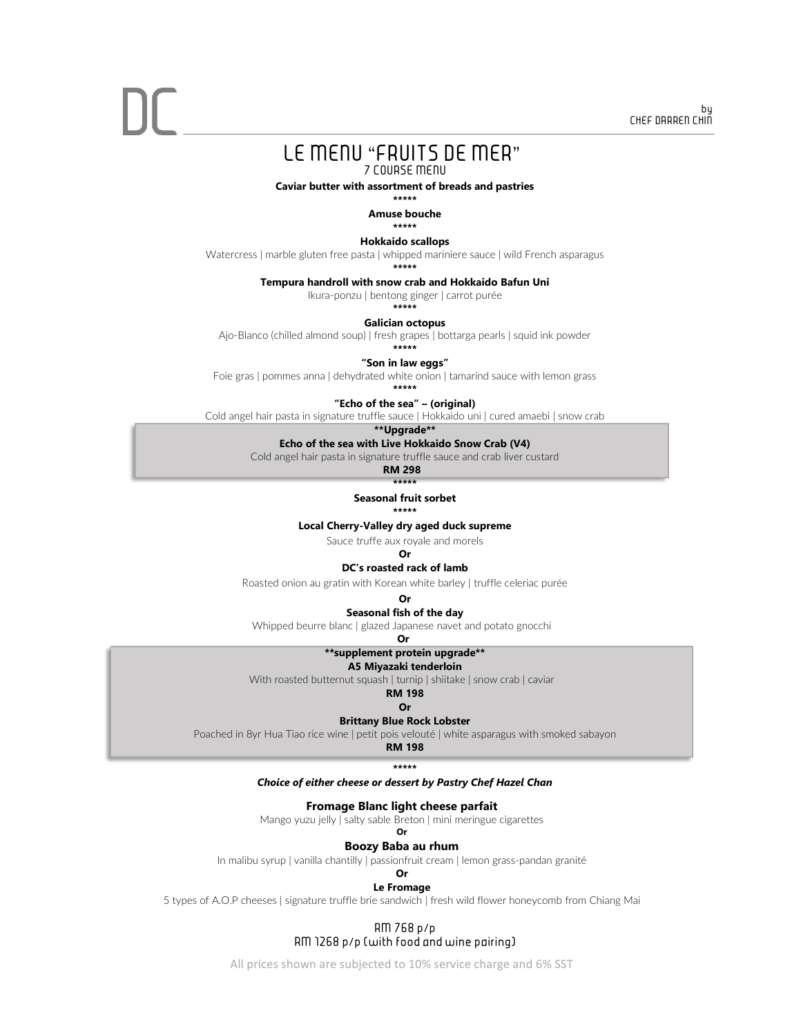#### LE MENU "FRUITS DE MER" 7 COURSE MENU

**Caviar butter with assortment of breads and pastries** 

**\*\*\*\*\*** 

**Amuse bouche**

**\*\*\*\*\*** 

**Hokkaido scallops** 

Watercress | marble gluten free pasta | whipped mariniere sauce | wild French asparagus

**\*\*\*\*\*** 

#### **Tempura handroll with snow crab and Hokkaido Bafun Uni**

Ikura-ponzu | bentong ginger | carrot purée

**\*\*\*\*\***

#### **Galician octopus**

Ajo-Blanco (chilled almond soup) | fresh grapes | bottarga pearls | squid ink powder

**\*\*\*\*\***

**"Son in law eggs"**

Foie gras | pommes anna | dehydrated white onion | tamarind sauce with lemon grass **\*\*\*\*\*** 

**"Echo of the sea" – (original)**

Cold angel hair pasta in signature truffle sauce | Hokkaido uni | cured amaebi | snow crab

**\*\*Upgrade\*\***

#### **Echo of the sea with Live Hokkaido Snow Crab (V4)**

Cold angel hair pasta in signature truffle sauce and crab liver custard

**RM 298**

**\*\*\*\*\* Seasonal fruit sorbet** 

**\*\*\*\*\*** 

#### **Local Cherry-Valley dry aged duck supreme**

Sauce truffe aux royale and morels

**Or**

#### **DC's roasted rack of lamb**

Roasted onion au gratin with Korean white barley | truffle celeriac purée

#### **Or**

**Seasonal fish of the day** 

Whipped beurre blanc | glazed Japanese navet and potato gnocchi

**Or**

#### **\*\*supplement protein upgrade\*\***

**A5 Miyazaki tenderloin**

With roasted butternut squash | turnip | shiitake | snow crab | caviar

**RM 198 Or**

#### **Brittany Blue Rock Lobster**

Poached in 8yr Hua Tiao rice wine | petit pois velouté | white asparagus with smoked sabayon

**RM 198**

#### **\*\*\*\*\***

#### *Choice of either cheese or dessert by Pastry Chef Hazel Chan*

#### **Fromage Blanc light cheese parfait**

Mango yuzu jelly | salty sable Breton | mini meringue cigarettes

**Or**

#### **Boozy Baba au rhum**

In malibu syrup | vanilla chantilly | passionfruit cream | lemon grass-pandan granité

#### **Or Le Fromage**

5 types of A.O.P cheeses | signature truffle brie sandwich | fresh wild flower honeycomb from Chiang Mai

#### RM 768 p/p RM 1268 p/p (with food and wine pairing)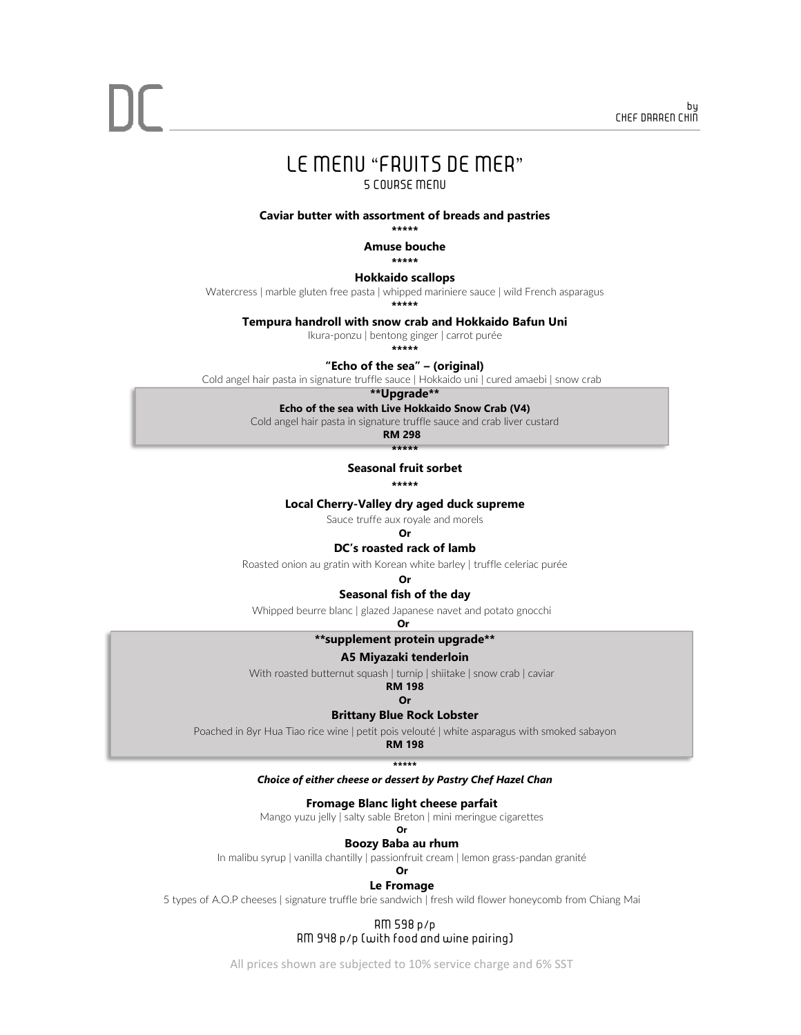## LE MENU "FRUITS DE MER"

5 COURSE MENU

**Caviar butter with assortment of breads and pastries** 

**\*\*\*\*\*** 

**Amuse bouche**

**\*\*\*\*\*** 

**Hokkaido scallops** 

Watercress | marble gluten free pasta | whipped mariniere sauce | wild French asparagus

**\*\*\*\*\***

**Tempura handroll with snow crab and Hokkaido Bafun Uni**

Ikura-ponzu | bentong ginger | carrot purée

**\*\*\*\*\***

**"Echo of the sea" – (original)**

Cold angel hair pasta in signature truffle sauce | Hokkaido uni | cured amaebi | snow crab

**\*\*Upgrade\*\***

#### **Echo of the sea with Live Hokkaido Snow Crab (V4)**

Cold angel hair pasta in signature truffle sauce and crab liver custard

**RM 298 \*\*\*\*\***

**Seasonal fruit sorbet** 

**\*\*\*\*\***

**Local Cherry-Valley dry aged duck supreme**

Sauce truffe aux royale and morels

**Or**

#### **DC's roasted rack of lamb**

Roasted onion au gratin with Korean white barley | truffle celeriac purée

#### **Or**

**Seasonal fish of the day** 

Whipped beurre blanc | glazed Japanese navet and potato gnocchi

**Or**

#### **\*\*supplement protein upgrade\*\***

#### **A5 Miyazaki tenderloin**

With roasted butternut squash | turnip | shiitake | snow crab | caviar

**RM 198 Or**

#### **Brittany Blue Rock Lobster**

Poached in 8yr Hua Tiao rice wine | petit pois velouté | white asparagus with smoked sabayon

**RM 198 \*\*\*\*\*** 

#### *Choice of either cheese or dessert by Pastry Chef Hazel Chan*

**Fromage Blanc light cheese parfait**

Mango yuzu jelly | salty sable Breton | mini meringue cigarettes

#### **Or**

**Boozy Baba au rhum** 

In malibu syrup | vanilla chantilly | passionfruit cream | lemon grass-pandan granité

#### **Or Le Fromage**

5 types of A.O.P cheeses | signature truffle brie sandwich | fresh wild flower honeycomb from Chiang Mai

#### RM 598 p/p

RM 948 p/p (with food and wine pairing)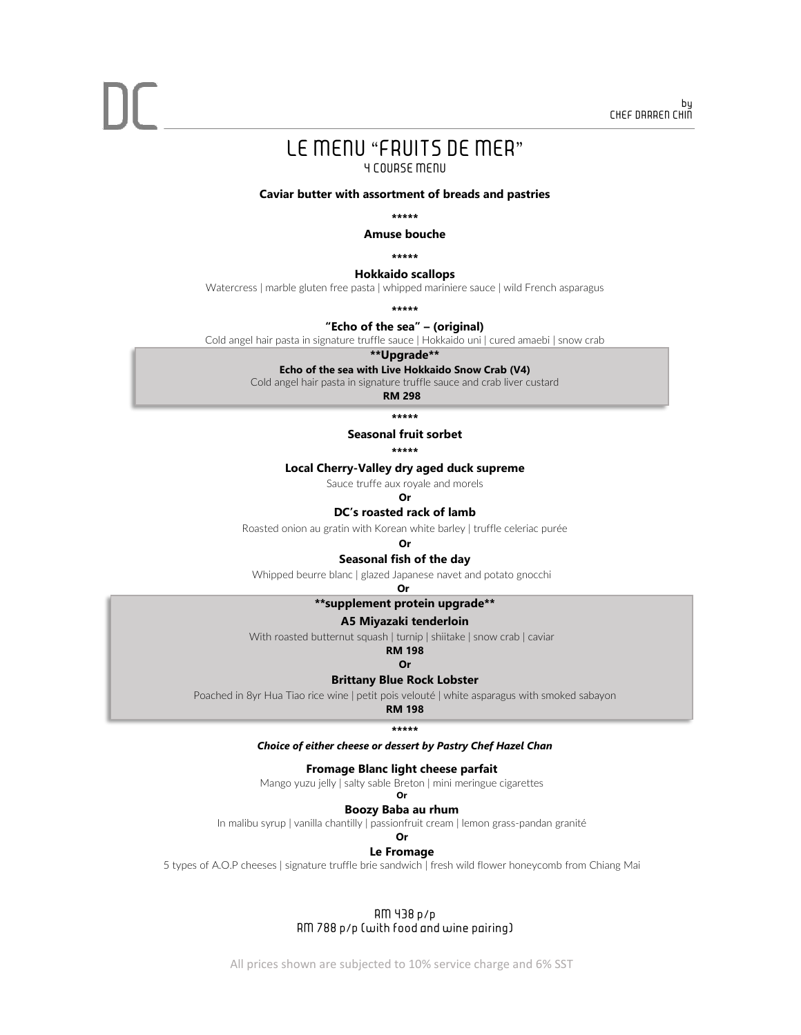## LE MENU "FRUITS DE MER"

#### 4 COURSE MENU

**Caviar butter with assortment of breads and pastries**

**\*\*\*\*\*** 

**Amuse bouche**

**\*\*\*\*\*** 

#### **Hokkaido scallops**

Watercress | marble gluten free pasta | whipped mariniere sauce | wild French asparagus

**\*\*\*\*\*** 

#### **"Echo of the sea" – (original)**

Cold angel hair pasta in signature truffle sauce | Hokkaido uni | cured amaebi | snow crab

**\*\*Upgrade\*\***

#### **Echo of the sea with Live Hokkaido Snow Crab (V4)**

Cold angel hair pasta in signature truffle sauce and crab liver custard

**RM 298**

**\*\*\*\*\*** 

#### **Seasonal fruit sorbet**

**\*\*\*\*\*** 

#### **Local Cherry-Valley dry aged duck supreme**

Sauce truffe aux royale and morels

**Or**

**DC's roasted rack of lamb**

Roasted onion au gratin with Korean white barley | truffle celeriac purée

#### **Or**

#### **Seasonal fish of the day**

Whipped beurre blanc | glazed Japanese navet and potato gnocchi

**Or**

#### **\*\*supplement protein upgrade\*\***

#### **A5 Miyazaki tenderloin**

With roasted butternut squash | turnip | shiitake | snow crab | caviar

#### **Or**

#### **Brittany Blue Rock Lobster**

Poached in 8yr Hua Tiao rice wine | petit pois velouté | white asparagus with smoked sabayon **RM 198**

**\*\*\*\*\*** 

#### *Choice of either cheese or dessert by Pastry Chef Hazel Chan*

#### **Fromage Blanc light cheese parfait**

Mango yuzu jelly | salty sable Breton | mini meringue cigarettes **Or**

#### **Boozy Baba au rhum**

In malibu syrup | vanilla chantilly | passionfruit cream | lemon grass-pandan granité

### **Or**

### **Le Fromage**

5 types of A.O.P cheeses | signature truffle brie sandwich | fresh wild flower honeycomb from Chiang Mai

#### RM 438 p/p RM 788 p/p (with food and wine pairing)

All prices shown are subjected to 10% service charge and 6% SST

### **RM 198**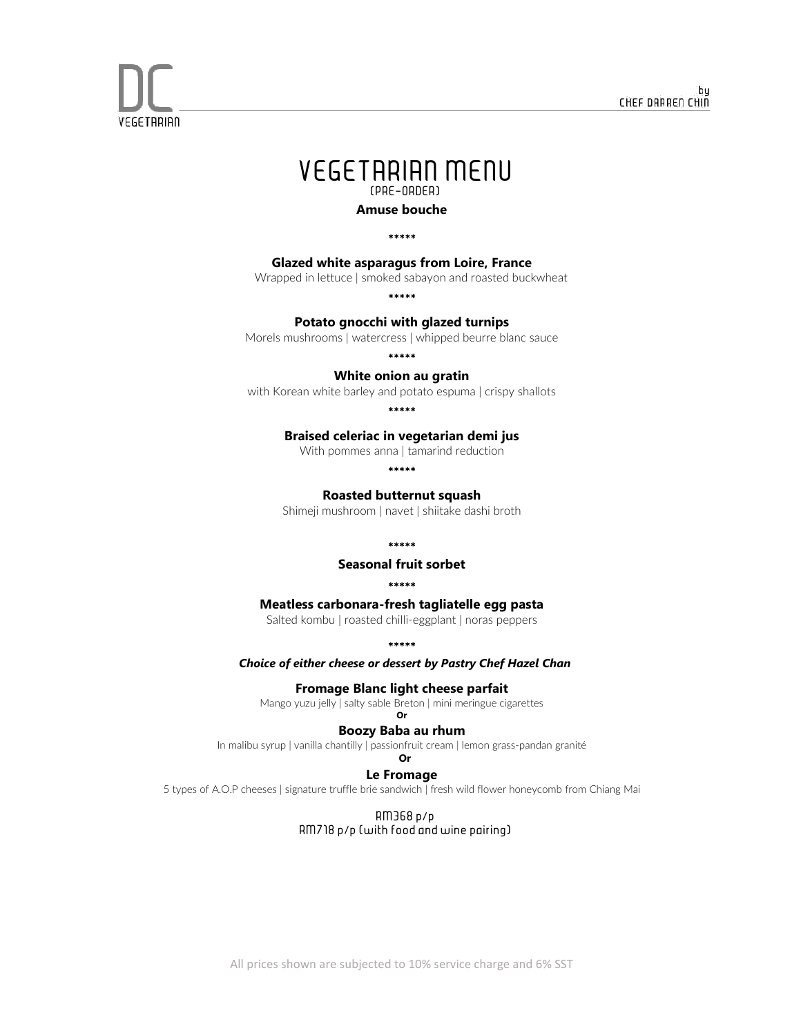



**VEGETARIAN** 

**Amuse bouche**

\*\*\*\*\*

#### **Glazed white asparagus from Loire, France**

Wrapped in lettuce | smoked sabayon and roasted buckwheat

\*\*\*\*\*

#### **Potato gnocchi with glazed turnips**

Morels mushrooms | watercress | whipped beurre blanc sauce

\*\*\*\*\*

#### **White onion au gratin**

with Korean white barley and potato espuma | crispy shallots

\*\*\*\*\*

#### **Braised celeriac in vegetarian demi jus**

With pommes anna | tamarind reduction

\*\*\*\*\*

#### **Roasted butternut squash**

Shimeji mushroom | navet | shiitake dashi broth

\*\*\*\*\*

#### **Seasonal fruit sorbet**

#### \*\*\*\*\*

#### **Meatless carbonara-fresh tagliatelle egg pasta**

Salted kombu | roasted chilli-eggplant | noras peppers

\*\*\*\*\*

#### *Choice of either cheese or dessert by Pastry Chef Hazel Chan*

#### **Fromage Blanc light cheese parfait**

Mango yuzu jelly | salty sable Breton | mini meringue cigarettes **Or**

#### **Boozy Baba au rhum**

In malibu syrup | vanilla chantilly | passionfruit cream | lemon grass-pandan granité

#### **Or**

#### **Le Fromage**

5 types of A.O.P cheeses | signature truffle brie sandwich | fresh wild flower honeycomb from Chiang Mai

RM368 p/p RM718 p/p (with food and wine pairing)